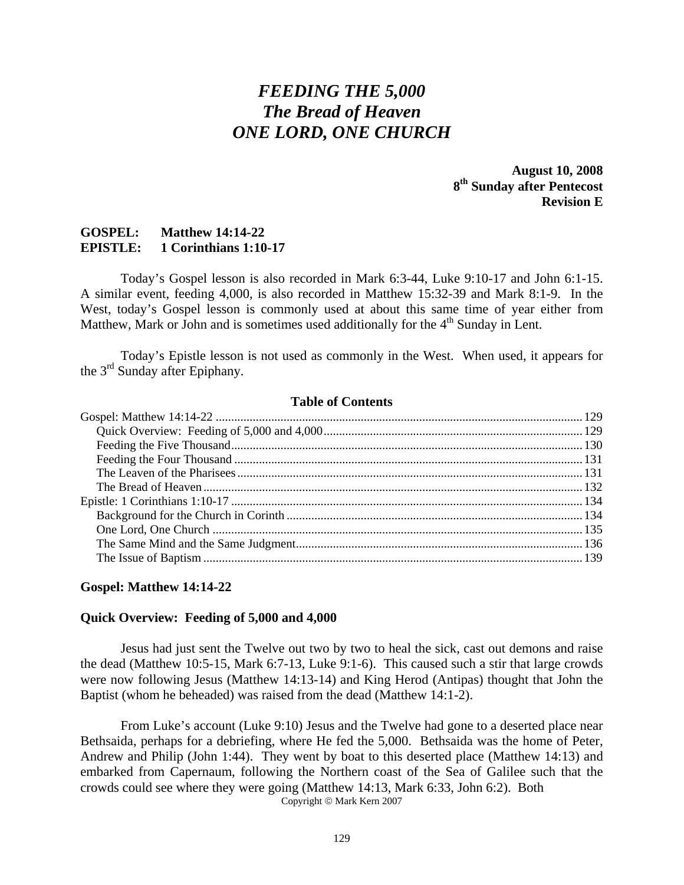# *FEEDING THE 5,000 The Bread of Heaven ONE LORD, ONE CHURCH*

**August 10, 2008 8th Sunday after Pentecost Revision E** 

## <span id="page-0-0"></span>**GOSPEL: Matthew 14:14-22 EPISTLE: 1 Corinthians 1:10-17**

 Today's Gospel lesson is also recorded in Mark 6:3-44, Luke 9:10-17 and John 6:1-15. A similar event, feeding 4,000, is also recorded in Matthew 15:32-39 and Mark 8:1-9. In the West, today's Gospel lesson is commonly used at about this same time of year either from Matthew, Mark or John and is sometimes used additionally for the  $4<sup>th</sup>$  Sunday in Lent.

 Today's Epistle lesson is not used as commonly in the West. When used, it appears for the 3<sup>rd</sup> Sunday after Epiphany.

### **Table of Contents**

## **Gospel: Matthew 14:14-22**

### **Quick Overview: Feeding of 5,000 and 4,000**

Jesus had just sent the Twelve out two by two to heal the sick, cast out demons and raise the dead (Matthew 10:5-15, Mark 6:7-13, Luke 9:1-6). This caused such a stir that large crowds were now following Jesus (Matthew 14:13-14) and King Herod (Antipas) thought that John the Baptist (whom he beheaded) was raised from the dead (Matthew 14:1-2).

 From Luke's account (Luke 9:10) Jesus and the Twelve had gone to a deserted place near Bethsaida, perhaps for a debriefing, where He fed the 5,000. Bethsaida was the home of Peter, Andrew and Philip (John 1:44). They went by boat to this deserted place (Matthew 14:13) and embarked from Capernaum, following the Northern coast of the Sea of Galilee such that the crowds could see where they were going (Matthew 14:13, Mark 6:33, John 6:2). Both

Copyright © Mark Kern 2007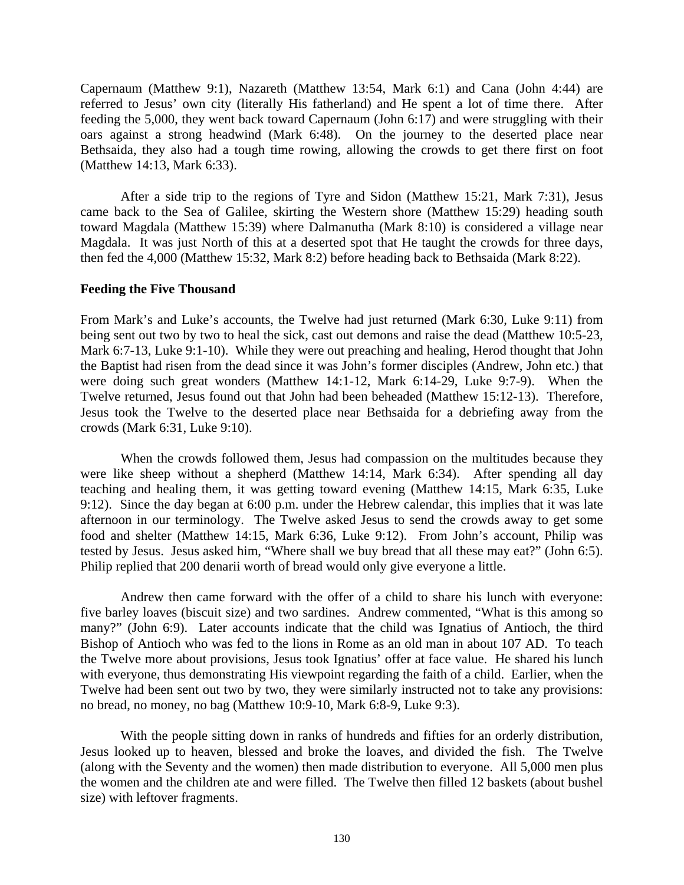<span id="page-1-0"></span>Capernaum (Matthew 9:1), Nazareth (Matthew 13:54, Mark 6:1) and Cana (John 4:44) are referred to Jesus' own city (literally His fatherland) and He spent a lot of time there. After feeding the 5,000, they went back toward Capernaum (John 6:17) and were struggling with their oars against a strong headwind (Mark 6:48). On the journey to the deserted place near Bethsaida, they also had a tough time rowing, allowing the crowds to get there first on foot (Matthew 14:13, Mark 6:33).

 After a side trip to the regions of Tyre and Sidon (Matthew 15:21, Mark 7:31), Jesus came back to the Sea of Galilee, skirting the Western shore (Matthew 15:29) heading south toward Magdala (Matthew 15:39) where Dalmanutha (Mark 8:10) is considered a village near Magdala. It was just North of this at a deserted spot that He taught the crowds for three days, then fed the 4,000 (Matthew 15:32, Mark 8:2) before heading back to Bethsaida (Mark 8:22).

## **Feeding the Five Thousand**

From Mark's and Luke's accounts, the Twelve had just returned (Mark 6:30, Luke 9:11) from being sent out two by two to heal the sick, cast out demons and raise the dead (Matthew 10:5-23, Mark 6:7-13, Luke 9:1-10). While they were out preaching and healing, Herod thought that John the Baptist had risen from the dead since it was John's former disciples (Andrew, John etc.) that were doing such great wonders (Matthew 14:1-12, Mark 6:14-29, Luke 9:7-9). When the Twelve returned, Jesus found out that John had been beheaded (Matthew 15:12-13). Therefore, Jesus took the Twelve to the deserted place near Bethsaida for a debriefing away from the crowds (Mark 6:31, Luke 9:10).

 When the crowds followed them, Jesus had compassion on the multitudes because they were like sheep without a shepherd (Matthew 14:14, Mark 6:34). After spending all day teaching and healing them, it was getting toward evening (Matthew 14:15, Mark 6:35, Luke 9:12). Since the day began at 6:00 p.m. under the Hebrew calendar, this implies that it was late afternoon in our terminology. The Twelve asked Jesus to send the crowds away to get some food and shelter (Matthew 14:15, Mark 6:36, Luke 9:12). From John's account, Philip was tested by Jesus. Jesus asked him, "Where shall we buy bread that all these may eat?" (John 6:5). Philip replied that 200 denarii worth of bread would only give everyone a little.

 Andrew then came forward with the offer of a child to share his lunch with everyone: five barley loaves (biscuit size) and two sardines. Andrew commented, "What is this among so many?" (John 6:9). Later accounts indicate that the child was Ignatius of Antioch, the third Bishop of Antioch who was fed to the lions in Rome as an old man in about 107 AD. To teach the Twelve more about provisions, Jesus took Ignatius' offer at face value. He shared his lunch with everyone, thus demonstrating His viewpoint regarding the faith of a child. Earlier, when the Twelve had been sent out two by two, they were similarly instructed not to take any provisions: no bread, no money, no bag (Matthew 10:9-10, Mark 6:8-9, Luke 9:3).

 With the people sitting down in ranks of hundreds and fifties for an orderly distribution, Jesus looked up to heaven, blessed and broke the loaves, and divided the fish. The Twelve (along with the Seventy and the women) then made distribution to everyone. All 5,000 men plus the women and the children ate and were filled. The Twelve then filled 12 baskets (about bushel size) with leftover fragments.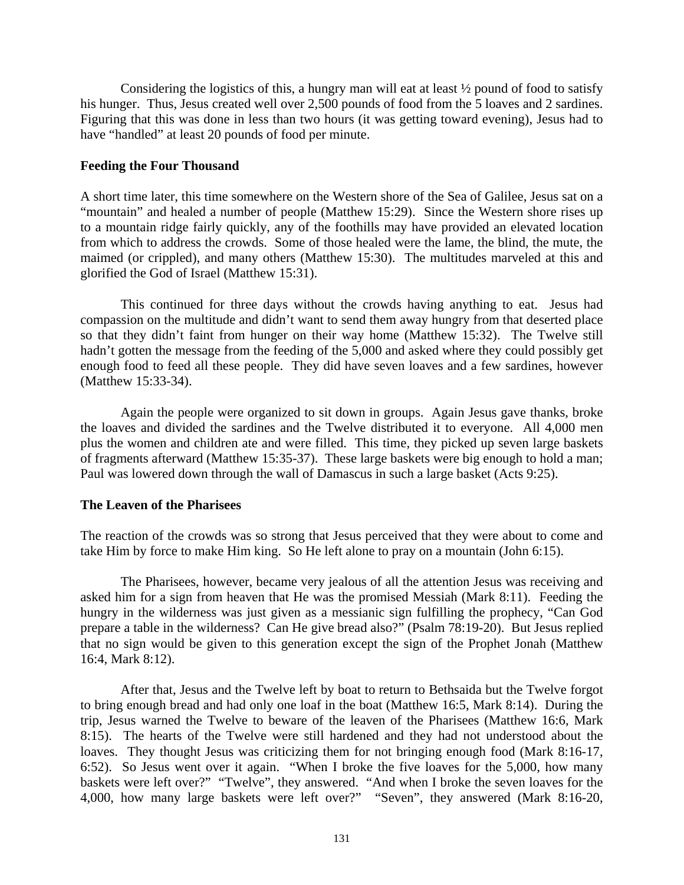<span id="page-2-0"></span> Considering the logistics of this, a hungry man will eat at least ½ pound of food to satisfy his hunger. Thus, Jesus created well over 2,500 pounds of food from the 5 loaves and 2 sardines. Figuring that this was done in less than two hours (it was getting toward evening), Jesus had to have "handled" at least 20 pounds of food per minute.

## **Feeding the Four Thousand**

A short time later, this time somewhere on the Western shore of the Sea of Galilee, Jesus sat on a "mountain" and healed a number of people (Matthew 15:29). Since the Western shore rises up to a mountain ridge fairly quickly, any of the foothills may have provided an elevated location from which to address the crowds. Some of those healed were the lame, the blind, the mute, the maimed (or crippled), and many others (Matthew 15:30). The multitudes marveled at this and glorified the God of Israel (Matthew 15:31).

 This continued for three days without the crowds having anything to eat. Jesus had compassion on the multitude and didn't want to send them away hungry from that deserted place so that they didn't faint from hunger on their way home (Matthew 15:32). The Twelve still hadn't gotten the message from the feeding of the 5,000 and asked where they could possibly get enough food to feed all these people. They did have seven loaves and a few sardines, however (Matthew 15:33-34).

 Again the people were organized to sit down in groups. Again Jesus gave thanks, broke the loaves and divided the sardines and the Twelve distributed it to everyone. All 4,000 men plus the women and children ate and were filled. This time, they picked up seven large baskets of fragments afterward (Matthew 15:35-37). These large baskets were big enough to hold a man; Paul was lowered down through the wall of Damascus in such a large basket (Acts 9:25).

# **The Leaven of the Pharisees**

The reaction of the crowds was so strong that Jesus perceived that they were about to come and take Him by force to make Him king. So He left alone to pray on a mountain (John 6:15).

 The Pharisees, however, became very jealous of all the attention Jesus was receiving and asked him for a sign from heaven that He was the promised Messiah (Mark 8:11). Feeding the hungry in the wilderness was just given as a messianic sign fulfilling the prophecy, "Can God prepare a table in the wilderness? Can He give bread also?" (Psalm 78:19-20). But Jesus replied that no sign would be given to this generation except the sign of the Prophet Jonah (Matthew 16:4, Mark 8:12).

 After that, Jesus and the Twelve left by boat to return to Bethsaida but the Twelve forgot to bring enough bread and had only one loaf in the boat (Matthew 16:5, Mark 8:14). During the trip, Jesus warned the Twelve to beware of the leaven of the Pharisees (Matthew 16:6, Mark 8:15). The hearts of the Twelve were still hardened and they had not understood about the loaves. They thought Jesus was criticizing them for not bringing enough food (Mark 8:16-17, 6:52). So Jesus went over it again. "When I broke the five loaves for the 5,000, how many baskets were left over?" "Twelve", they answered. "And when I broke the seven loaves for the 4,000, how many large baskets were left over?" "Seven", they answered (Mark 8:16-20,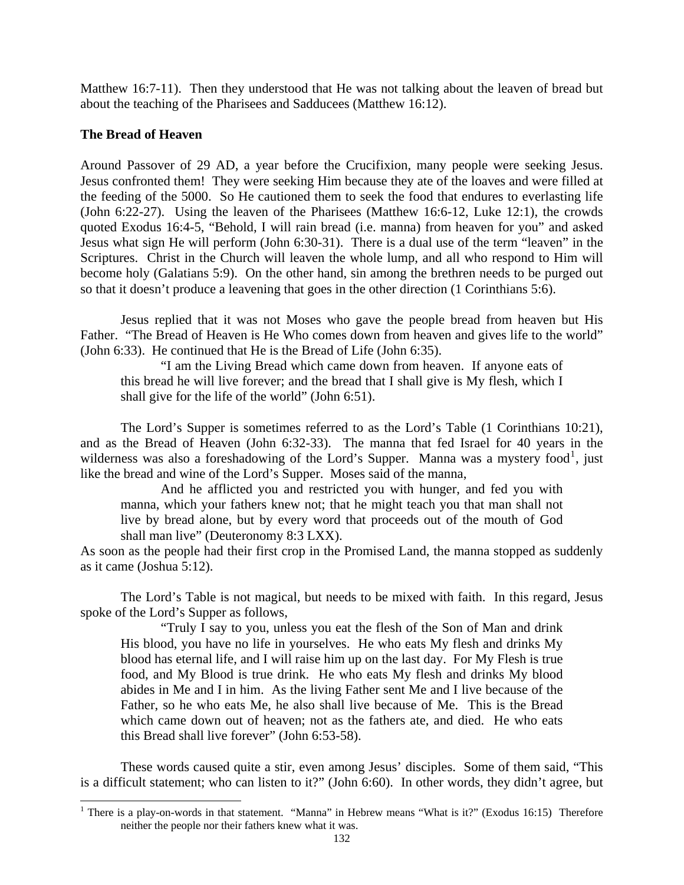<span id="page-3-0"></span>Matthew 16:7-11). Then they understood that He was not talking about the leaven of bread but about the teaching of the Pharisees and Sadducees (Matthew 16:12).

# **The Bread of Heaven**

Around Passover of 29 AD, a year before the Crucifixion, many people were seeking Jesus. Jesus confronted them! They were seeking Him because they ate of the loaves and were filled at the feeding of the 5000. So He cautioned them to seek the food that endures to everlasting life (John 6:22-27). Using the leaven of the Pharisees (Matthew 16:6-12, Luke 12:1), the crowds quoted Exodus 16:4-5, "Behold, I will rain bread (i.e. manna) from heaven for you" and asked Jesus what sign He will perform (John 6:30-31). There is a dual use of the term "leaven" in the Scriptures. Christ in the Church will leaven the whole lump, and all who respond to Him will become holy (Galatians 5:9). On the other hand, sin among the brethren needs to be purged out so that it doesn't produce a leavening that goes in the other direction (1 Corinthians 5:6).

 Jesus replied that it was not Moses who gave the people bread from heaven but His Father. "The Bread of Heaven is He Who comes down from heaven and gives life to the world" (John 6:33). He continued that He is the Bread of Life (John 6:35).

"I am the Living Bread which came down from heaven. If anyone eats of this bread he will live forever; and the bread that I shall give is My flesh, which I shall give for the life of the world" (John 6:51).

like the bread and wine of the Lord's Supper. Moses said of the manna, The Lord's Supper is sometimes referred to as the Lord's Table (1 Corinthians 10:21), and as the Bread of Heaven (John 6:32-33). The manna that fed Israel for 40 years in the wilderness was also a foreshadowing of the Lord's Supper. Manna was a mystery food<sup>[1](#page-3-1)</sup>, just

And he afflicted you and restricted you with hunger, and fed you with manna, which your fathers knew not; that he might teach you that man shall not live by bread alone, but by every word that proceeds out of the mouth of God shall man live" (Deuteronomy 8:3 LXX).

As soon as the people had their first crop in the Promised Land, the manna stopped as suddenly as it came (Joshua 5:12).

The Lord's Table is not magical, but needs to be mixed with faith. In this regard, Jesus spoke of the Lord's Supper as follows,

"Truly I say to you, unless you eat the flesh of the Son of Man and drink His blood, you have no life in yourselves. He who eats My flesh and drinks My blood has eternal life, and I will raise him up on the last day. For My Flesh is true food, and My Blood is true drink. He who eats My flesh and drinks My blood abides in Me and I in him. As the living Father sent Me and I live because of the Father, so he who eats Me, he also shall live because of Me. This is the Bread which came down out of heaven; not as the fathers ate, and died. He who eats this Bread shall live forever" (John 6:53-58).

These words caused quite a stir, even among Jesus' disciples. Some of them said, "This is a difficult statement; who can listen to it?" (John 6:60). In other words, they didn't agree, but

<span id="page-3-1"></span><sup>&</sup>lt;sup>1</sup> There is a play-on-words in that statement. "Manna" in Hebrew means "What is it?" (Exodus 16:15) Therefore neither the people nor their fathers knew what it was.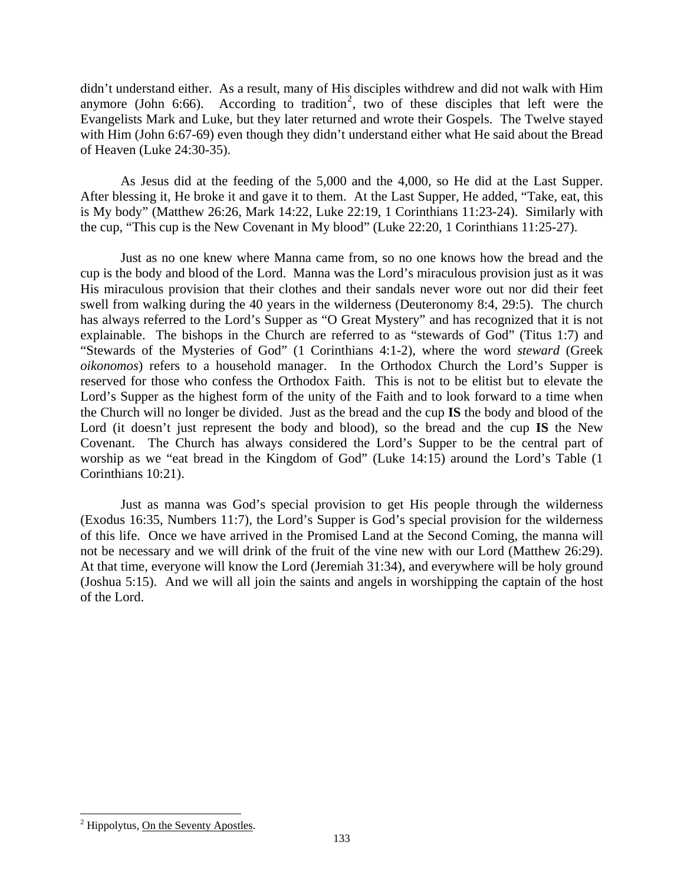didn't understand either. As a result, many of His disciples withdrew and did not walk with Him anymore (John 6:66). According to tradition<sup>[2](#page-4-0)</sup>, two of these disciples that left were the Evangelists Mark and Luke, but they later returned and wrote their Gospels. The Twelve stayed with Him (John 6:67-69) even though they didn't understand either what He said about the Bread of Heaven (Luke 24:30-35).

 As Jesus did at the feeding of the 5,000 and the 4,000, so He did at the Last Supper. After blessing it, He broke it and gave it to them. At the Last Supper, He added, "Take, eat, this is My body" (Matthew 26:26, Mark 14:22, Luke 22:19, 1 Corinthians 11:23-24). Similarly with the cup, "This cup is the New Covenant in My blood" (Luke 22:20, 1 Corinthians 11:25-27).

 Just as no one knew where Manna came from, so no one knows how the bread and the cup is the body and blood of the Lord. Manna was the Lord's miraculous provision just as it was His miraculous provision that their clothes and their sandals never wore out nor did their feet swell from walking during the 40 years in the wilderness (Deuteronomy 8:4, 29:5). The church has always referred to the Lord's Supper as "O Great Mystery" and has recognized that it is not explainable. The bishops in the Church are referred to as "stewards of God" (Titus 1:7) and "Stewards of the Mysteries of God" (1 Corinthians 4:1-2), where the word *steward* (Greek *oikonomos*) refers to a household manager. In the Orthodox Church the Lord's Supper is reserved for those who confess the Orthodox Faith. This is not to be elitist but to elevate the Lord's Supper as the highest form of the unity of the Faith and to look forward to a time when the Church will no longer be divided. Just as the bread and the cup **IS** the body and blood of the Lord (it doesn't just represent the body and blood), so the bread and the cup **IS** the New Covenant. The Church has always considered the Lord's Supper to be the central part of worship as we "eat bread in the Kingdom of God" (Luke 14:15) around the Lord's Table (1 Corinthians 10:21).

Just as manna was God's special provision to get His people through the wilderness (Exodus 16:35, Numbers 11:7), the Lord's Supper is God's special provision for the wilderness of this life. Once we have arrived in the Promised Land at the Second Coming, the manna will not be necessary and we will drink of the fruit of the vine new with our Lord (Matthew 26:29). At that time, everyone will know the Lord (Jeremiah 31:34), and everywhere will be holy ground (Joshua 5:15). And we will all join the saints and angels in worshipping the captain of the host of the Lord.

<span id="page-4-0"></span><sup>&</sup>lt;sup>2</sup> Hippolytus, On the Seventy Apostles.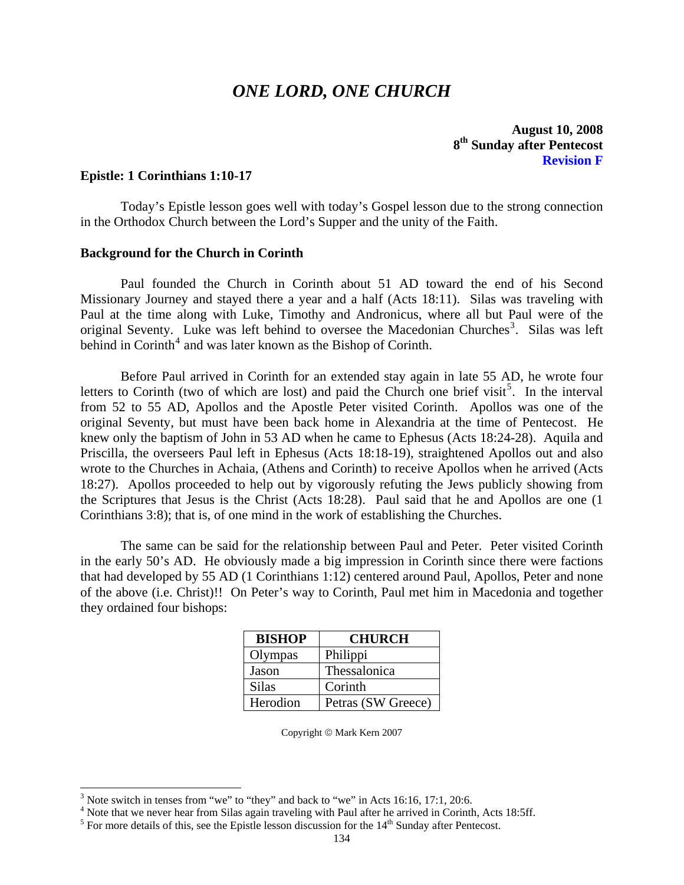# *ONE LORD, ONE CHURCH*

**August 10, 2008 8th Sunday after Pentecost Revision F**

#### <span id="page-5-0"></span>**Epistle: 1 Corinthians 1:10-17**

 Today's Epistle lesson goes well with today's Gospel lesson due to the strong connection in the Orthodox Church between the Lord's Supper and the unity of the Faith.

#### **Background for the Church in Corinth**

 Paul founded the Church in Corinth about 51 AD toward the end of his Second Missionary Journey and stayed there a year and a half (Acts 18:11). Silas was traveling with Paul at the time along with Luke, Timothy and Andronicus, where all but Paul were of the original Seventy. Luke was left behind to oversee the Macedonian Churches<sup>[3](#page-5-1)</sup>. Silas was left behind in Corinth<sup>[4](#page-5-1)</sup> and was later known as the Bishop of Corinth.

 Before Paul arrived in Corinth for an extended stay again in late 55 AD, he wrote four letters to Corinth (two of which are lost) and paid the Church one brief visit<sup>[5](#page-5-1)</sup>. In the interval from 52 to 55 AD, Apollos and the Apostle Peter visited Corinth. Apollos was one of the original Seventy, but must have been back home in Alexandria at the time of Pentecost. He knew only the baptism of John in 53 AD when he came to Ephesus (Acts 18:24-28). Aquila and Priscilla, the overseers Paul left in Ephesus (Acts 18:18-19), straightened Apollos out and also wrote to the Churches in Achaia, (Athens and Corinth) to receive Apollos when he arrived (Acts 18:27). Apollos proceeded to help out by vigorously refuting the Jews publicly showing from the Scriptures that Jesus is the Christ (Acts 18:28). Paul said that he and Apollos are one (1 Corinthians 3:8); that is, of one mind in the work of establishing the Churches.

 The same can be said for the relationship between Paul and Peter. Peter visited Corinth in the early 50's AD. He obviously made a big impression in Corinth since there were factions that had developed by 55 AD (1 Corinthians 1:12) centered around Paul, Apollos, Peter and none of the above (i.e. Christ)!! On Peter's way to Corinth, Paul met him in Macedonia and together they ordained four bishops:

| <b>BISHOP</b> | <b>CHURCH</b>      |
|---------------|--------------------|
| Olympas       | Philippi           |
| Jason         | Thessalonica       |
| <b>Silas</b>  | Corinth            |
| Herodion      | Petras (SW Greece) |

Copyright © Mark Kern 2007

<span id="page-5-1"></span> $3$  Note switch in tenses from "we" to "they" and back to "we" in Acts 16:16, 17:1, 20:6.

<sup>&</sup>lt;sup>4</sup> Note that we never hear from Silas again traveling with Paul after he arrived in Corinth, Acts 18:5ff.<br><sup>5</sup> For more details of this, see the Enistle lesson discussion for the 14<sup>th</sup> Sunday after Pentesset.

 $<sup>5</sup>$  For more details of this, see the Epistle lesson discussion for the  $14<sup>th</sup>$  Sunday after Pentecost.</sup>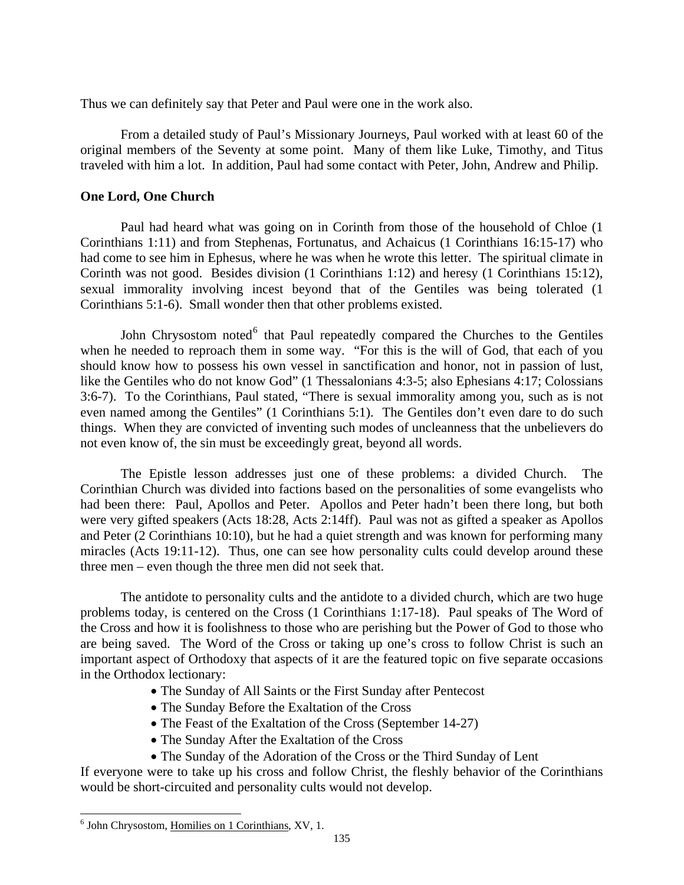<span id="page-6-0"></span>Thus we can definitely say that Peter and Paul were one in the work also.

 From a detailed study of Paul's Missionary Journeys, Paul worked with at least 60 of the original members of the Seventy at some point. Many of them like Luke, Timothy, and Titus traveled with him a lot. In addition, Paul had some contact with Peter, John, Andrew and Philip.

# **One Lord, One Church**

 Paul had heard what was going on in Corinth from those of the household of Chloe (1 Corinthians 1:11) and from Stephenas, Fortunatus, and Achaicus (1 Corinthians 16:15-17) who had come to see him in Ephesus, where he was when he wrote this letter. The spiritual climate in Corinth was not good. Besides division (1 Corinthians 1:12) and heresy (1 Corinthians 15:12), sexual immorality involving incest beyond that of the Gentiles was being tolerated (1 Corinthians 5:1-6). Small wonder then that other problems existed.

John Chrysostom noted<sup>[6](#page-6-1)</sup> that Paul repeatedly compared the Churches to the Gentiles when he needed to reproach them in some way. "For this is the will of God, that each of you should know how to possess his own vessel in sanctification and honor, not in passion of lust, like the Gentiles who do not know God" (1 Thessalonians 4:3-5; also Ephesians 4:17; Colossians 3:6-7). To the Corinthians, Paul stated, "There is sexual immorality among you, such as is not even named among the Gentiles" (1 Corinthians 5:1). The Gentiles don't even dare to do such things. When they are convicted of inventing such modes of uncleanness that the unbelievers do not even know of, the sin must be exceedingly great, beyond all words.

 The Epistle lesson addresses just one of these problems: a divided Church. The Corinthian Church was divided into factions based on the personalities of some evangelists who had been there: Paul, Apollos and Peter. Apollos and Peter hadn't been there long, but both were very gifted speakers (Acts 18:28, Acts 2:14ff). Paul was not as gifted a speaker as Apollos and Peter (2 Corinthians 10:10), but he had a quiet strength and was known for performing many miracles (Acts 19:11-12). Thus, one can see how personality cults could develop around these three men – even though the three men did not seek that.

 The antidote to personality cults and the antidote to a divided church, which are two huge problems today, is centered on the Cross (1 Corinthians 1:17-18). Paul speaks of The Word of the Cross and how it is foolishness to those who are perishing but the Power of God to those who are being saved. The Word of the Cross or taking up one's cross to follow Christ is such an important aspect of Orthodoxy that aspects of it are the featured topic on five separate occasions in the Orthodox lectionary:

- The Sunday of All Saints or the First Sunday after Pentecost
- The Sunday Before the Exaltation of the Cross
- The Feast of the Exaltation of the Cross (September 14-27)
- The Sunday After the Exaltation of the Cross
- The Sunday of the Adoration of the Cross or the Third Sunday of Lent

If everyone were to take up his cross and follow Christ, the fleshly behavior of the Corinthians would be short-circuited and personality cults would not develop.

<span id="page-6-1"></span><sup>&</sup>lt;sup>6</sup> John Chrysostom, Homilies on 1 Corinthians, XV, 1.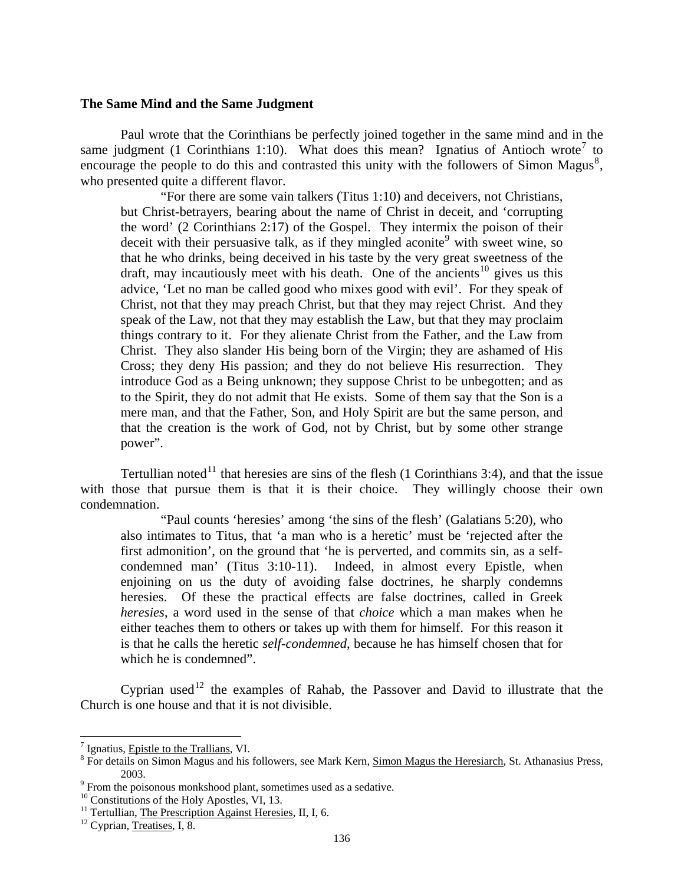### <span id="page-7-0"></span>**The Same Mind and the Same Judgment**

Paul wrote that the Corinthians be perfectly joined together in the same mind and in the same judgment (1 Corinthians 1:10). What does this mean? Ignatius of Antioch wrote<sup>[7](#page-7-1)</sup> to encourage the people to do this and contrasted this unity with the followers of Simon Magus<sup>[8](#page-7-2)</sup>, who presented quite a different flavor.

"For there are some vain talkers (Titus 1:10) and deceivers, not Christians, but Christ-betrayers, bearing about the name of Christ in deceit, and 'corrupting the word' (2 Corinthians 2:17) of the Gospel. They intermix the poison of their deceit with their persuasive talk, as if they mingled aconite<sup>[9](#page-7-3)</sup> with sweet wine, so that he who drinks, being deceived in his taste by the very great sweetness of the draft, may incautiously meet with his death. One of the ancients<sup>[10](#page-7-4)</sup> gives us this advice, 'Let no man be called good who mixes good with evil'. For they speak of Christ, not that they may preach Christ, but that they may reject Christ. And they speak of the Law, not that they may establish the Law, but that they may proclaim things contrary to it. For they alienate Christ from the Father, and the Law from Christ. They also slander His being born of the Virgin; they are ashamed of His Cross; they deny His passion; and they do not believe His resurrection. They introduce God as a Being unknown; they suppose Christ to be unbegotten; and as to the Spirit, they do not admit that He exists. Some of them say that the Son is a mere man, and that the Father, Son, and Holy Spirit are but the same person, and that the creation is the work of God, not by Christ, but by some other strange power".

Tertullian noted<sup>[11](#page-7-5)</sup> that heresies are sins of the flesh (1 Corinthians 3:4), and that the issue with those that pursue them is that it is their choice. They willingly choose their own condemnation.

"Paul counts 'heresies' among 'the sins of the flesh' (Galatians 5:20), who also intimates to Titus, that 'a man who is a heretic' must be 'rejected after the first admonition', on the ground that 'he is perverted, and commits sin, as a selfcondemned man' (Titus 3:10-11). Indeed, in almost every Epistle, when enjoining on us the duty of avoiding false doctrines, he sharply condemns heresies. Of these the practical effects are false doctrines, called in Greek *heresies*, a word used in the sense of that *choice* which a man makes when he either teaches them to others or takes up with them for himself. For this reason it is that he calls the heretic *self-condemned*, because he has himself chosen that for which he is condemned".

Cyprian used<sup>[12](#page-7-6)</sup> the examples of Rahab, the Passover and David to illustrate that the Church is one house and that it is not divisible.

<span id="page-7-1"></span>If Ignatius, Epistle to the Trallians, VI.<br> $8 \text{ Eor details on Simon Meaus and his.}$ 

<span id="page-7-2"></span><sup>&</sup>lt;sup>8</sup> For details on Simon Magus and his followers, see Mark Kern, Simon Magus the Heresiarch, St. Athanasius Press,

<span id="page-7-3"></span><sup>2003. 9</sup> From the poisonous monkshood plant, sometimes used as a sedative.

<span id="page-7-4"></span><sup>&</sup>lt;sup>10</sup> Constitutions of the Holy Apostles, VI, 13.

<span id="page-7-5"></span><sup>&</sup>lt;sup>11</sup> Tertullian, The Prescription Against Heresies, II, I, 6. <sup>12</sup> Cyprian, Treatises, I, 8.

<span id="page-7-6"></span>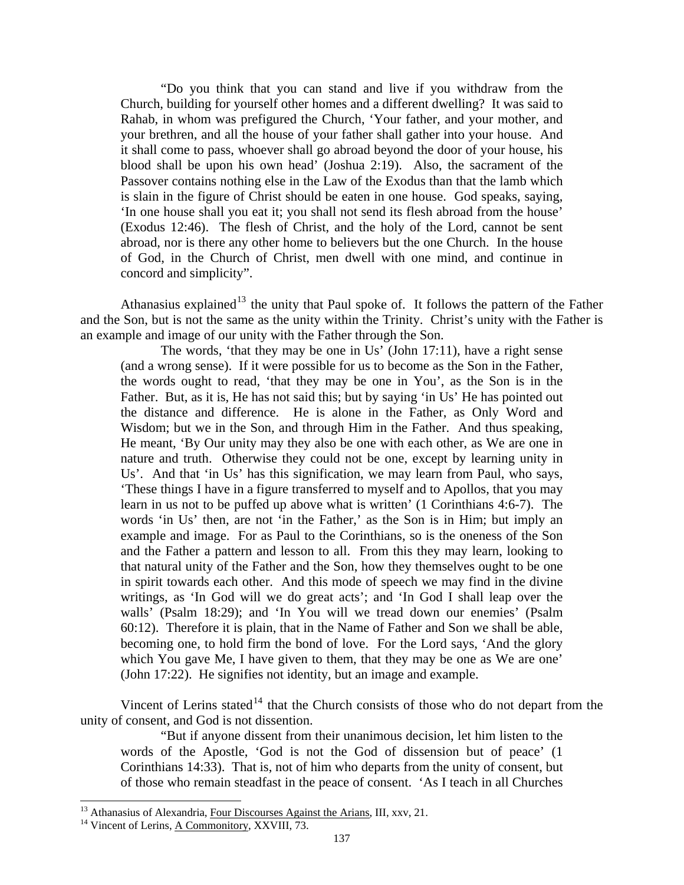"Do you think that you can stand and live if you withdraw from the Church, building for yourself other homes and a different dwelling? It was said to Rahab, in whom was prefigured the Church, 'Your father, and your mother, and your brethren, and all the house of your father shall gather into your house. And it shall come to pass, whoever shall go abroad beyond the door of your house, his blood shall be upon his own head' (Joshua 2:19). Also, the sacrament of the Passover contains nothing else in the Law of the Exodus than that the lamb which is slain in the figure of Christ should be eaten in one house. God speaks, saying, 'In one house shall you eat it; you shall not send its flesh abroad from the house' (Exodus 12:46). The flesh of Christ, and the holy of the Lord, cannot be sent abroad, nor is there any other home to believers but the one Church. In the house of God, in the Church of Christ, men dwell with one mind, and continue in concord and simplicity".

Athanasius explained<sup>[13](#page-8-0)</sup> the unity that Paul spoke of. It follows the pattern of the Father and the Son, but is not the same as the unity within the Trinity. Christ's unity with the Father is an example and image of our unity with the Father through the Son.

The words, 'that they may be one in Us' (John 17:11), have a right sense (and a wrong sense). If it were possible for us to become as the Son in the Father, the words ought to read, 'that they may be one in You', as the Son is in the Father. But, as it is, He has not said this; but by saying 'in Us' He has pointed out the distance and difference. He is alone in the Father, as Only Word and Wisdom; but we in the Son, and through Him in the Father. And thus speaking, He meant, 'By Our unity may they also be one with each other, as We are one in nature and truth. Otherwise they could not be one, except by learning unity in Us'. And that 'in Us' has this signification, we may learn from Paul, who says, 'These things I have in a figure transferred to myself and to Apollos, that you may learn in us not to be puffed up above what is written' (1 Corinthians 4:6-7). The words 'in Us' then, are not 'in the Father,' as the Son is in Him; but imply an example and image. For as Paul to the Corinthians, so is the oneness of the Son and the Father a pattern and lesson to all. From this they may learn, looking to that natural unity of the Father and the Son, how they themselves ought to be one in spirit towards each other. And this mode of speech we may find in the divine writings, as 'In God will we do great acts'; and 'In God I shall leap over the walls' (Psalm 18:29); and 'In You will we tread down our enemies' (Psalm 60:12). Therefore it is plain, that in the Name of Father and Son we shall be able, becoming one, to hold firm the bond of love. For the Lord says, 'And the glory which You gave Me, I have given to them, that they may be one as We are one' (John 17:22). He signifies not identity, but an image and example.

Vincent of Lerins stated<sup>[14](#page-8-1)</sup> that the Church consists of those who do not depart from the unity of consent, and God is not dissention.

"But if anyone dissent from their unanimous decision, let him listen to the words of the Apostle, 'God is not the God of dissension but of peace' (1 Corinthians 14:33). That is, not of him who departs from the unity of consent, but of those who remain steadfast in the peace of consent. 'As I teach in all Churches

l

<span id="page-8-1"></span><span id="page-8-0"></span><sup>&</sup>lt;sup>13</sup> Athanasius of Alexandria, <u>Four Discourses Against the Arians</u>, III, xxv, 21.<br><sup>14</sup> Vincent of Lerins, <u>A Commonitory</u>, XXVIII, 73.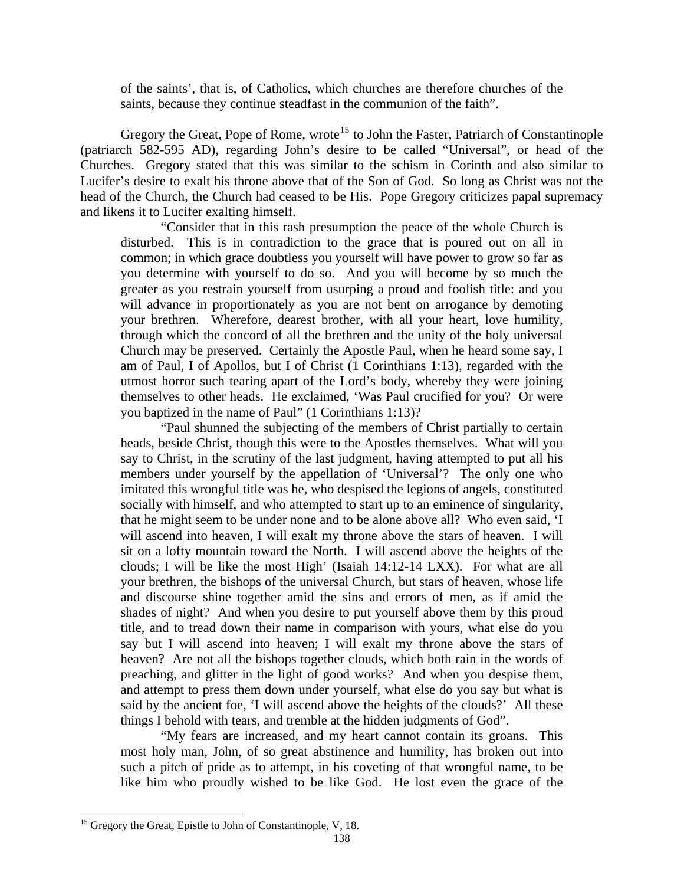of the saints', that is, of Catholics, which churches are therefore churches of the saints, because they continue steadfast in the communion of the faith".

Gregory the Great, Pope of Rome, wrote<sup>[15](#page-9-0)</sup> to John the Faster, Patriarch of Constantinople (patriarch 582-595 AD), regarding John's desire to be called "Universal", or head of the Churches. Gregory stated that this was similar to the schism in Corinth and also similar to Lucifer's desire to exalt his throne above that of the Son of God. So long as Christ was not the head of the Church, the Church had ceased to be His. Pope Gregory criticizes papal supremacy and likens it to Lucifer exalting himself.

"Consider that in this rash presumption the peace of the whole Church is disturbed. This is in contradiction to the grace that is poured out on all in common; in which grace doubtless you yourself will have power to grow so far as you determine with yourself to do so. And you will become by so much the greater as you restrain yourself from usurping a proud and foolish title: and you will advance in proportionately as you are not bent on arrogance by demoting your brethren. Wherefore, dearest brother, with all your heart, love humility, through which the concord of all the brethren and the unity of the holy universal Church may be preserved. Certainly the Apostle Paul, when he heard some say, I am of Paul, I of Apollos, but I of Christ (1 Corinthians 1:13), regarded with the utmost horror such tearing apart of the Lord's body, whereby they were joining themselves to other heads. He exclaimed, 'Was Paul crucified for you? Or were you baptized in the name of Paul" (1 Corinthians 1:13)?

"Paul shunned the subjecting of the members of Christ partially to certain heads, beside Christ, though this were to the Apostles themselves. What will you say to Christ, in the scrutiny of the last judgment, having attempted to put all his members under yourself by the appellation of 'Universal'? The only one who imitated this wrongful title was he, who despised the legions of angels, constituted socially with himself, and who attempted to start up to an eminence of singularity, that he might seem to be under none and to be alone above all? Who even said, 'I will ascend into heaven, I will exalt my throne above the stars of heaven. I will sit on a lofty mountain toward the North. I will ascend above the heights of the clouds; I will be like the most High' (Isaiah 14:12-14 LXX). For what are all your brethren, the bishops of the universal Church, but stars of heaven, whose life and discourse shine together amid the sins and errors of men, as if amid the shades of night? And when you desire to put yourself above them by this proud title, and to tread down their name in comparison with yours, what else do you say but I will ascend into heaven; I will exalt my throne above the stars of heaven? Are not all the bishops together clouds, which both rain in the words of preaching, and glitter in the light of good works? And when you despise them, and attempt to press them down under yourself, what else do you say but what is said by the ancient foe, 'I will ascend above the heights of the clouds?' All these things I behold with tears, and tremble at the hidden judgments of God".

"My fears are increased, and my heart cannot contain its groans. This most holy man, John, of so great abstinence and humility, has broken out into such a pitch of pride as to attempt, in his coveting of that wrongful name, to be like him who proudly wished to be like God. He lost even the grace of the

<span id="page-9-0"></span><sup>&</sup>lt;sup>15</sup> Gregory the Great, Epistle to John of Constantinople, V, 18.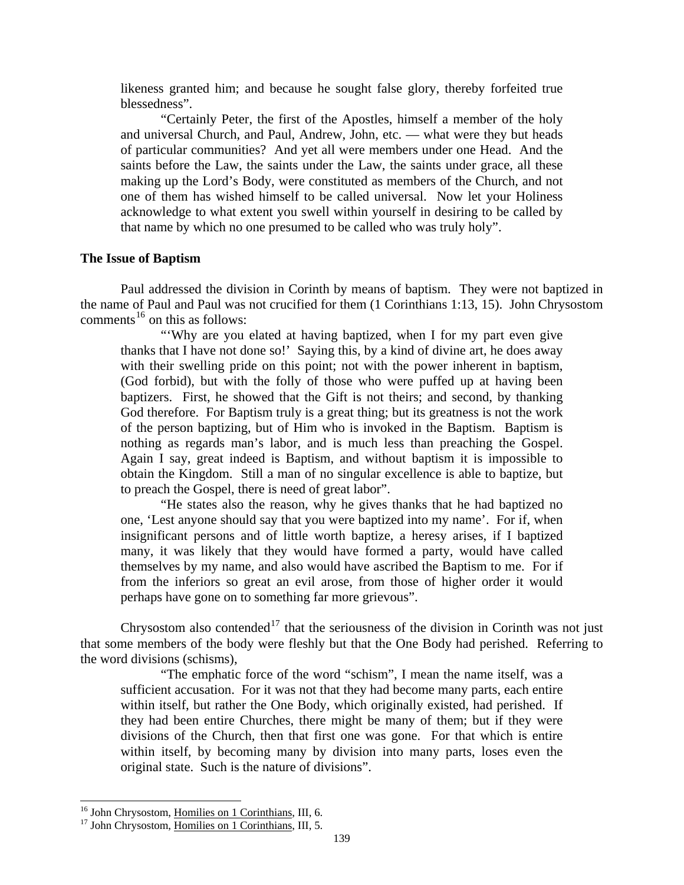<span id="page-10-0"></span>likeness granted him; and because he sought false glory, thereby forfeited true blessedness".

"Certainly Peter, the first of the Apostles, himself a member of the holy and universal Church, and Paul, Andrew, John, etc. — what were they but heads of particular communities? And yet all were members under one Head. And the saints before the Law, the saints under the Law, the saints under grace, all these making up the Lord's Body, were constituted as members of the Church, and not one of them has wished himself to be called universal. Now let your Holiness acknowledge to what extent you swell within yourself in desiring to be called by that name by which no one presumed to be called who was truly holy".

## **The Issue of Baptism**

Paul addressed the division in Corinth by means of baptism. They were not baptized in the name of Paul and Paul was not crucified for them (1 Corinthians 1:13, 15). John Chrysostom comments<sup>[16](#page-10-1)</sup> on this as follows:

"'Why are you elated at having baptized, when I for my part even give thanks that I have not done so!' Saying this, by a kind of divine art, he does away with their swelling pride on this point; not with the power inherent in baptism, (God forbid), but with the folly of those who were puffed up at having been baptizers. First, he showed that the Gift is not theirs; and second, by thanking God therefore. For Baptism truly is a great thing; but its greatness is not the work of the person baptizing, but of Him who is invoked in the Baptism. Baptism is nothing as regards man's labor, and is much less than preaching the Gospel. Again I say, great indeed is Baptism, and without baptism it is impossible to obtain the Kingdom. Still a man of no singular excellence is able to baptize, but to preach the Gospel, there is need of great labor".

"He states also the reason, why he gives thanks that he had baptized no one, 'Lest anyone should say that you were baptized into my name'. For if, when insignificant persons and of little worth baptize, a heresy arises, if I baptized many, it was likely that they would have formed a party, would have called themselves by my name, and also would have ascribed the Baptism to me. For if from the inferiors so great an evil arose, from those of higher order it would perhaps have gone on to something far more grievous".

Chrysostom also contended<sup>[17](#page-10-2)</sup> that the seriousness of the division in Corinth was not just that some members of the body were fleshly but that the One Body had perished. Referring to the word divisions (schisms),

"The emphatic force of the word "schism", I mean the name itself, was a sufficient accusation. For it was not that they had become many parts, each entire within itself, but rather the One Body, which originally existed, had perished. If they had been entire Churches, there might be many of them; but if they were divisions of the Church, then that first one was gone. For that which is entire within itself, by becoming many by division into many parts, loses even the original state. Such is the nature of divisions".

<span id="page-10-1"></span><sup>&</sup>lt;sup>16</sup> John Chrysostom, Homilies on 1 Corinthians, III, 6.

<span id="page-10-2"></span><sup>&</sup>lt;sup>17</sup> John Chrysostom, Homilies on 1 Corinthians, III, 5.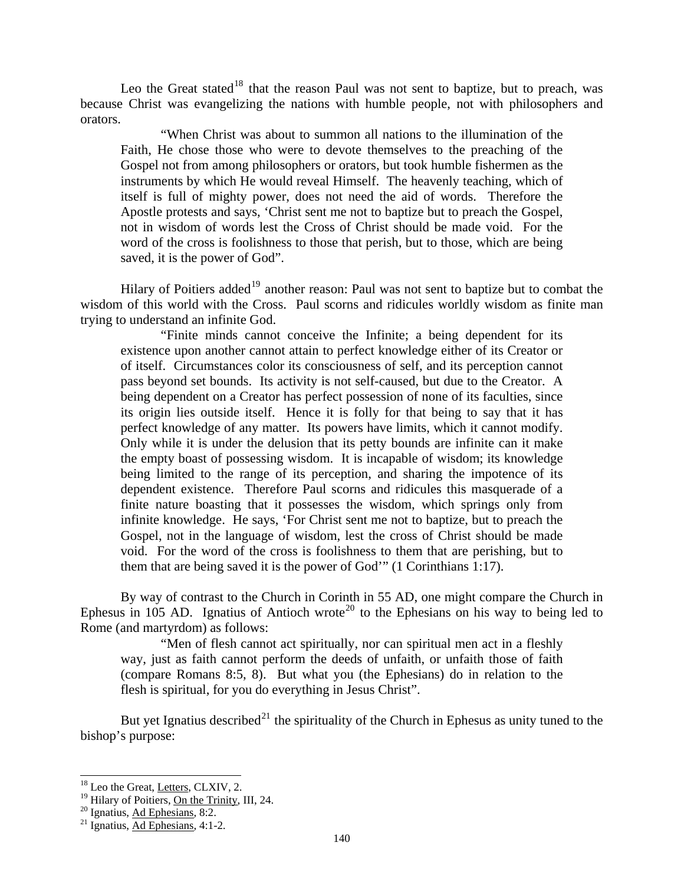Leo the Great stated<sup>[18](#page-11-0)</sup> that the reason Paul was not sent to baptize, but to preach, was because Christ was evangelizing the nations with humble people, not with philosophers and orators.

"When Christ was about to summon all nations to the illumination of the Faith, He chose those who were to devote themselves to the preaching of the Gospel not from among philosophers or orators, but took humble fishermen as the instruments by which He would reveal Himself. The heavenly teaching, which of itself is full of mighty power, does not need the aid of words. Therefore the Apostle protests and says, 'Christ sent me not to baptize but to preach the Gospel, not in wisdom of words lest the Cross of Christ should be made void. For the word of the cross is foolishness to those that perish, but to those, which are being saved, it is the power of God".

Hilary of Poitiers added<sup>[19](#page-11-1)</sup> another reason: Paul was not sent to baptize but to combat the wisdom of this world with the Cross. Paul scorns and ridicules worldly wisdom as finite man trying to understand an infinite God.

"Finite minds cannot conceive the Infinite; a being dependent for its existence upon another cannot attain to perfect knowledge either of its Creator or of itself. Circumstances color its consciousness of self, and its perception cannot pass beyond set bounds. Its activity is not self-caused, but due to the Creator. A being dependent on a Creator has perfect possession of none of its faculties, since its origin lies outside itself. Hence it is folly for that being to say that it has perfect knowledge of any matter. Its powers have limits, which it cannot modify. Only while it is under the delusion that its petty bounds are infinite can it make the empty boast of possessing wisdom. It is incapable of wisdom; its knowledge being limited to the range of its perception, and sharing the impotence of its dependent existence. Therefore Paul scorns and ridicules this masquerade of a finite nature boasting that it possesses the wisdom, which springs only from infinite knowledge. He says, 'For Christ sent me not to baptize, but to preach the Gospel, not in the language of wisdom, lest the cross of Christ should be made void. For the word of the cross is foolishness to them that are perishing, but to them that are being saved it is the power of God'" (1 Corinthians 1:17).

 By way of contrast to the Church in Corinth in 55 AD, one might compare the Church in Ephesus in 105 AD. Ignatius of Antioch wrote<sup>[20](#page-11-2)</sup> to the Ephesians on his way to being led to Rome (and martyrdom) as follows:

"Men of flesh cannot act spiritually, nor can spiritual men act in a fleshly way, just as faith cannot perform the deeds of unfaith, or unfaith those of faith (compare Romans 8:5, 8). But what you (the Ephesians) do in relation to the flesh is spiritual, for you do everything in Jesus Christ".

But yet Ignatius described<sup>[21](#page-11-3)</sup> the spirituality of the Church in Ephesus as unity tuned to the bishop's purpose:

 $18$  Leo the Great, Letters, CLXIV, 2.

<span id="page-11-1"></span><span id="page-11-0"></span><sup>&</sup>lt;sup>19</sup> Hilary of Poitiers, <u>On the Trinity</u>, III, 24.<br><sup>20</sup> Ignatius, <u>Ad Ephesians</u>, 8:2.<br><sup>21</sup> Ignatius, Ad Ephesians, 4:1-2.

<span id="page-11-2"></span>

<span id="page-11-3"></span>